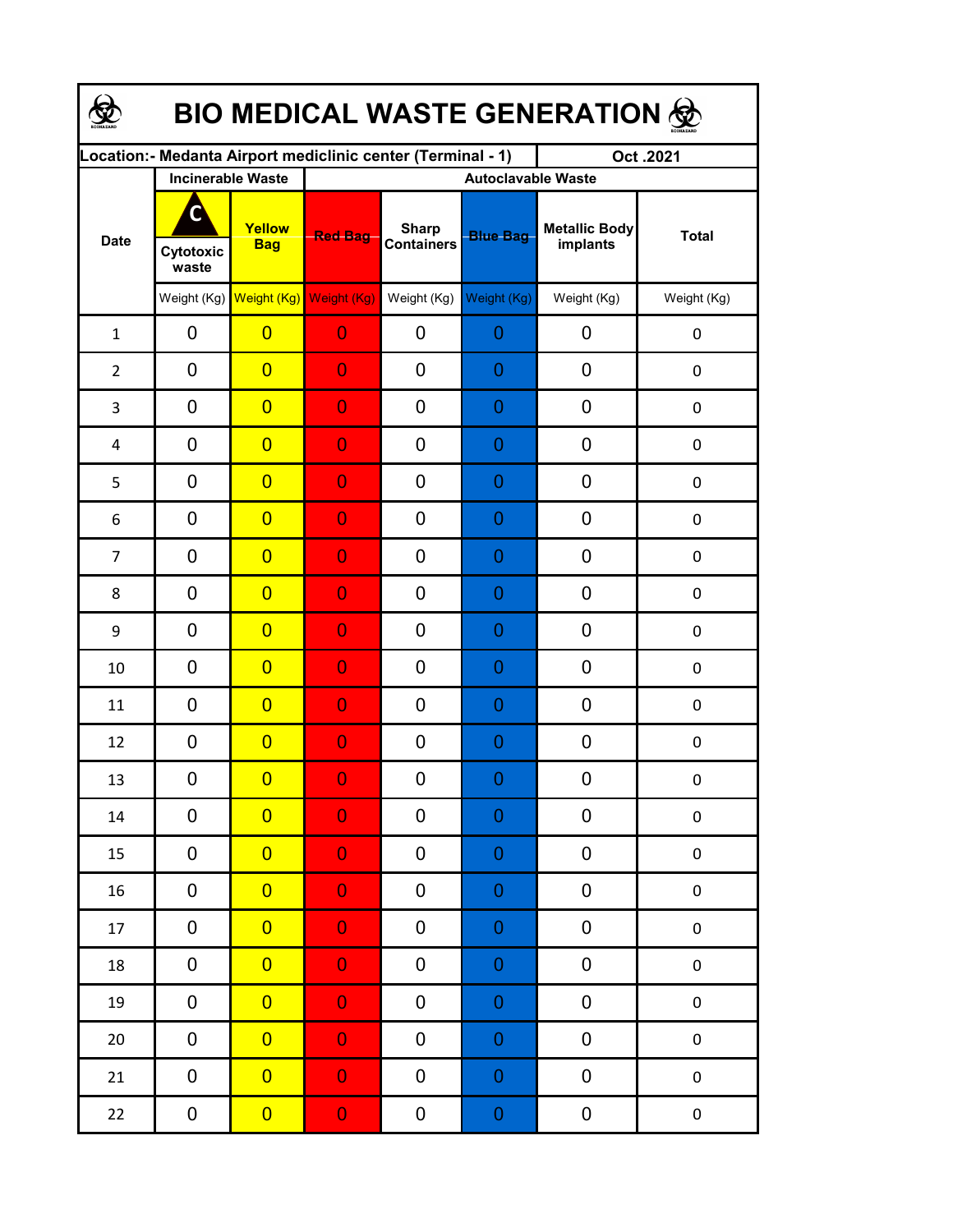| <b>BIO MEDICAL WASTE GENERATION 金</b> |                         |                                     |                                                             |                                   |                  |                                  |                  |  |  |  |  |
|---------------------------------------|-------------------------|-------------------------------------|-------------------------------------------------------------|-----------------------------------|------------------|----------------------------------|------------------|--|--|--|--|
|                                       |                         |                                     | Location:- Medanta Airport mediclinic center (Terminal - 1) |                                   |                  | Oct.2021                         |                  |  |  |  |  |
| <b>Date</b>                           |                         | <b>Incinerable Waste</b>            | <b>Autoclavable Waste</b>                                   |                                   |                  |                                  |                  |  |  |  |  |
|                                       | C<br>Cytotoxic<br>waste | Yellow<br><b>Bag</b>                | <b>Red Bag</b>                                              | <b>Sharp</b><br><b>Containers</b> | <b>Blue Bag</b>  | <b>Metallic Body</b><br>implants | <b>Total</b>     |  |  |  |  |
|                                       |                         | Weight (Kg) Weight (Kg) Weight (Kg) |                                                             | Weight (Kg)                       | Weight (Kg)      | Weight (Kg)                      | Weight (Kg)      |  |  |  |  |
| $\mathbf{1}$                          | 0                       | $\overline{0}$                      | $\overline{0}$                                              | 0                                 | 0                | 0                                | 0                |  |  |  |  |
| $\overline{2}$                        | 0                       | $\overline{0}$                      | $\overline{0}$                                              | 0                                 | 0                | 0                                | 0                |  |  |  |  |
| 3                                     | 0                       | $\overline{0}$                      | $\overline{0}$                                              | 0                                 | 0                | 0                                | $\pmb{0}$        |  |  |  |  |
| 4                                     | 0                       | $\overline{0}$                      | $\overline{0}$                                              | 0                                 | 0                | 0                                | $\boldsymbol{0}$ |  |  |  |  |
| 5                                     | 0                       | $\overline{0}$                      | $\overline{0}$                                              | 0                                 | 0                | 0                                | $\boldsymbol{0}$ |  |  |  |  |
| 6                                     | 0                       | $\overline{0}$                      | $\overline{0}$                                              | 0                                 | 0                | 0                                | $\mathbf 0$      |  |  |  |  |
| $\overline{7}$                        | 0                       | $\overline{0}$                      | $\overline{0}$                                              | 0                                 | 0                | 0                                | $\mathbf 0$      |  |  |  |  |
| 8                                     | 0                       | $\overline{0}$                      | $\overline{0}$                                              | 0                                 | 0                | 0                                | $\mathbf 0$      |  |  |  |  |
| 9                                     | 0                       | $\overline{0}$                      | $\overline{0}$                                              | 0                                 | 0                | 0                                | 0                |  |  |  |  |
| 10                                    | 0                       | $\overline{0}$                      | $\overline{0}$                                              | 0                                 | 0                | 0                                | 0                |  |  |  |  |
| 11                                    | 0                       | $\overline{0}$                      | $\overline{0}$                                              | 0                                 | 0                | 0                                | 0                |  |  |  |  |
| 12                                    | 0                       | $\overline{0}$                      | $\overline{0}$                                              | 0                                 | 0                | 0                                | $\boldsymbol{0}$ |  |  |  |  |
| 13                                    | 0                       | $\overline{\mathbf{0}}$             | $\Omega$                                                    | $\boldsymbol{0}$                  | $\Omega$         | $\boldsymbol{0}$                 | 0                |  |  |  |  |
| 14                                    | 0                       | $\overline{0}$                      | $\overline{0}$                                              | 0                                 | 0                | 0                                | $\pmb{0}$        |  |  |  |  |
| 15                                    | 0                       | $\overline{0}$                      | $\overline{0}$                                              | 0                                 | $\boldsymbol{0}$ | 0                                | $\pmb{0}$        |  |  |  |  |
| 16                                    | 0                       | $\overline{0}$                      | $\mathbf 0$                                                 | 0                                 | $\mathbf 0$      | 0                                | $\pmb{0}$        |  |  |  |  |
| 17                                    | 0                       | $\overline{0}$                      | $\mathbf 0$                                                 | 0                                 | $\mathbf 0$      | $\pmb{0}$                        | $\pmb{0}$        |  |  |  |  |
| 18                                    | 0                       | $\overline{0}$                      | $\overline{0}$                                              | 0                                 | $\mathbf 0$      | $\pmb{0}$                        | $\pmb{0}$        |  |  |  |  |
| 19                                    | 0                       | $\overline{0}$                      | $\overline{0}$                                              | 0                                 | $\mathbf 0$      | 0                                | $\pmb{0}$        |  |  |  |  |
| $20\,$                                | 0                       | $\overline{0}$                      | $\overline{0}$                                              | 0                                 | $\mathbf 0$      | 0                                | $\pmb{0}$        |  |  |  |  |
| 21                                    | 0                       | $\overline{0}$                      | $\overline{0}$                                              | 0                                 | $\mathbf 0$      | 0                                | $\pmb{0}$        |  |  |  |  |
| 22                                    | 0                       | $\overline{0}$                      | $\mathbf{0}$                                                | 0                                 | $\mathbf 0$      | $\boldsymbol{0}$                 | $\pmb{0}$        |  |  |  |  |